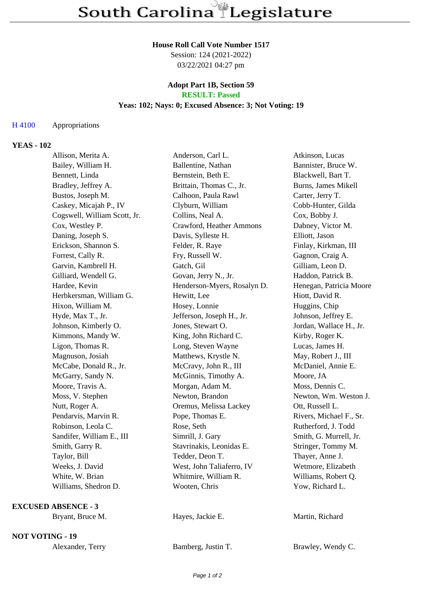#### **House Roll Call Vote Number 1517**

Session: 124 (2021-2022) 03/22/2021 04:27 pm

### **Adopt Part 1B, Section 59 RESULT: Passed**

# **Yeas: 102; Nays: 0; Excused Absence: 3; Not Voting: 19**

## H 4100 Appropriations

## **YEAS - 102**

| Allison, Merita A.           | Anderson, Carl L.           | Atkinson, Lucas         |
|------------------------------|-----------------------------|-------------------------|
| Bailey, William H.           | Ballentine, Nathan          | Bannister, Bruce W.     |
| Bennett, Linda               | Bernstein, Beth E.          | Blackwell, Bart T.      |
| Bradley, Jeffrey A.          | Brittain, Thomas C., Jr.    | Burns, James Mikell     |
| Bustos, Joseph M.            | Calhoon, Paula Rawl         | Carter, Jerry T.        |
| Caskey, Micajah P., IV       | Clyburn, William            | Cobb-Hunter, Gilda      |
| Cogswell, William Scott, Jr. | Collins, Neal A.            | Cox, Bobby J.           |
| Cox, Westley P.              | Crawford, Heather Ammons    | Dabney, Victor M.       |
| Daning, Joseph S.            | Davis, Sylleste H.          | Elliott, Jason          |
| Erickson, Shannon S.         | Felder, R. Raye             | Finlay, Kirkman, III    |
| Forrest, Cally R.            | Fry, Russell W.             | Gagnon, Craig A.        |
| Garvin, Kambrell H.          | Gatch, Gil                  | Gilliam, Leon D.        |
| Gilliard, Wendell G.         | Govan, Jerry N., Jr.        | Haddon, Patrick B.      |
| Hardee, Kevin                | Henderson-Myers, Rosalyn D. | Henegan, Patricia Moore |
| Herbkersman, William G.      | Hewitt, Lee                 | Hiott, David R.         |
| Hixon, William M.            | Hosey, Lonnie               | Huggins, Chip           |
| Hyde, Max T., Jr.            | Jefferson, Joseph H., Jr.   | Johnson, Jeffrey E.     |
| Johnson, Kimberly O.         | Jones, Stewart O.           | Jordan, Wallace H., Jr. |
| Kimmons, Mandy W.            | King, John Richard C.       | Kirby, Roger K.         |
| Ligon, Thomas R.             | Long, Steven Wayne          | Lucas, James H.         |
| Magnuson, Josiah             | Matthews, Krystle N.        | May, Robert J., III     |
| McCabe, Donald R., Jr.       | McCravy, John R., III       | McDaniel, Annie E.      |
| McGarry, Sandy N.            | McGinnis, Timothy A.        | Moore, JA               |
| Moore, Travis A.             | Morgan, Adam M.             | Moss, Dennis C.         |
| Moss, V. Stephen             | Newton, Brandon             | Newton, Wm. Weston J.   |
| Nutt, Roger A.               | Oremus, Melissa Lackey      | Ott, Russell L.         |
| Pendarvis, Marvin R.         | Pope, Thomas E.             | Rivers, Michael F., Sr. |
| Robinson, Leola C.           | Rose, Seth                  | Rutherford, J. Todd     |
| Sandifer, William E., III    | Simrill, J. Gary            | Smith, G. Murrell, Jr.  |
| Smith, Garry R.              | Stavrinakis, Leonidas E.    | Stringer, Tommy M.      |
| Taylor, Bill                 | Tedder, Deon T.             | Thayer, Anne J.         |
| Weeks, J. David              | West, John Taliaferro, IV   | Wetmore, Elizabeth      |
| White, W. Brian              | Whitmire, William R.        | Williams, Robert Q.     |
| Williams, Shedron D.         | Wooten, Chris               | Yow, Richard L.         |
| <b>EXCUSED ABSENCE - 3</b>   |                             |                         |
| Bryant, Bruce M.             | Hayes, Jackie E.            | Martin, Richard         |
| <b>NOT VOTING - 19</b>       |                             |                         |

Alexander, Terry Bamberg, Justin T. Brawley, Wendy C.